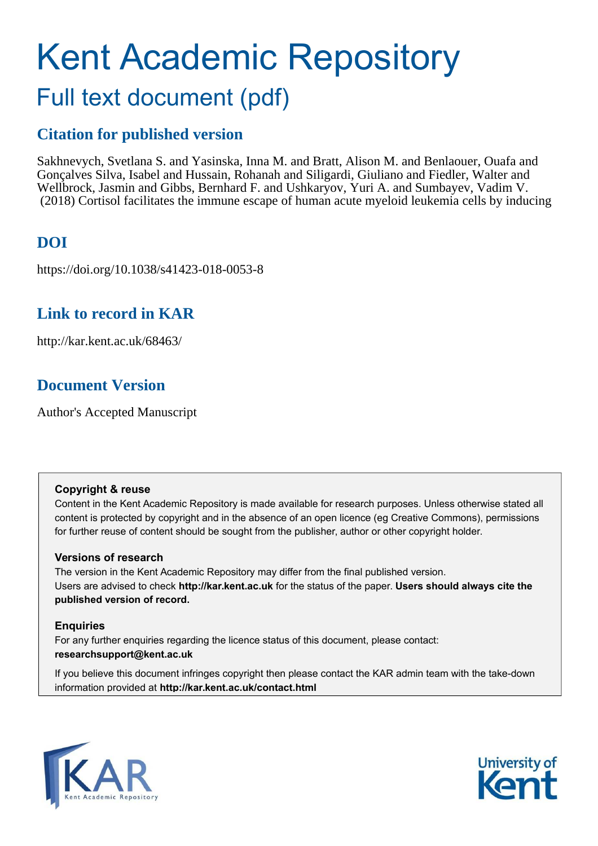# Kent Academic Repository Full text document (pdf)

# **Citation for published version**

Sakhnevych, Svetlana S. and Yasinska, Inna M. and Bratt, Alison M. and Benlaouer, Ouafa and Gonçalves Silva, Isabel and Hussain, Rohanah and Siligardi, Giuliano and Fiedler, Walter and Wellbrock, Jasmin and Gibbs, Bernhard F. and Ushkaryov, Yuri A. and Sumbayev, Vadim V. (2018) Cortisol facilitates the immune escape of human acute myeloid leukemia cells by inducing

# **DOI**

https://doi.org/10.1038/s41423-018-0053-8

# **Link to record in KAR**

http://kar.kent.ac.uk/68463/

# **Document Version**

Author's Accepted Manuscript

## **Copyright & reuse**

Content in the Kent Academic Repository is made available for research purposes. Unless otherwise stated all content is protected by copyright and in the absence of an open licence (eg Creative Commons), permissions for further reuse of content should be sought from the publisher, author or other copyright holder.

## **Versions of research**

The version in the Kent Academic Repository may differ from the final published version. Users are advised to check **http://kar.kent.ac.uk** for the status of the paper. **Users should always cite the published version of record.**

## **Enquiries**

For any further enquiries regarding the licence status of this document, please contact: **researchsupport@kent.ac.uk**

If you believe this document infringes copyright then please contact the KAR admin team with the take-down information provided at **http://kar.kent.ac.uk/contact.html**



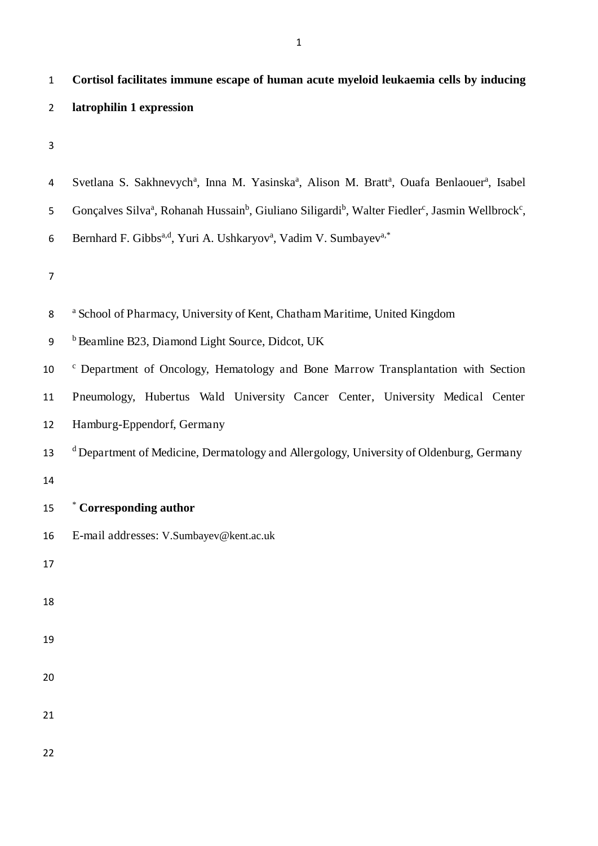1 **Cortisol facilitates immune escape of human acute myeloid leukaemia cells by inducing**

| $\overline{2}$   | latrophilin 1 expression                                                                                                                                      |
|------------------|---------------------------------------------------------------------------------------------------------------------------------------------------------------|
| $\mathsf 3$      |                                                                                                                                                               |
| 4                | Svetlana S. Sakhnevych <sup>a</sup> , Inna M. Yasinska <sup>a</sup> , Alison M. Bratt <sup>a</sup> , Ouafa Benlaouer <sup>a</sup> , Isabel                    |
| 5                | Gonçalves Silva <sup>a</sup> , Rohanah Hussain <sup>b</sup> , Giuliano Siligardi <sup>b</sup> , Walter Fiedler <sup>c</sup> , Jasmin Wellbrock <sup>c</sup> , |
| 6                | Bernhard F. Gibbs <sup>a,d</sup> , Yuri A. Ushkaryov <sup>a</sup> , Vadim V. Sumbayev <sup>a,*</sup>                                                          |
| $\overline{7}$   |                                                                                                                                                               |
| 8                | <sup>a</sup> School of Pharmacy, University of Kent, Chatham Maritime, United Kingdom                                                                         |
| $\boldsymbol{9}$ | <sup>b</sup> Beamline B23, Diamond Light Source, Didcot, UK                                                                                                   |
| 10               | <sup>c</sup> Department of Oncology, Hematology and Bone Marrow Transplantation with Section                                                                  |
| 11               | Pneumology, Hubertus Wald University Cancer Center, University Medical Center                                                                                 |
| 12               | Hamburg-Eppendorf, Germany                                                                                                                                    |
| 13               | <sup>d</sup> Department of Medicine, Dermatology and Allergology, University of Oldenburg, Germany                                                            |
| 14               |                                                                                                                                                               |
| 15               | * Corresponding author                                                                                                                                        |
| 16               | E-mail addresses: V.Sumbayev@kent.ac.uk                                                                                                                       |
| 17               |                                                                                                                                                               |
| 18               |                                                                                                                                                               |
| 19               |                                                                                                                                                               |
| 20               |                                                                                                                                                               |
| 21               |                                                                                                                                                               |
| 22               |                                                                                                                                                               |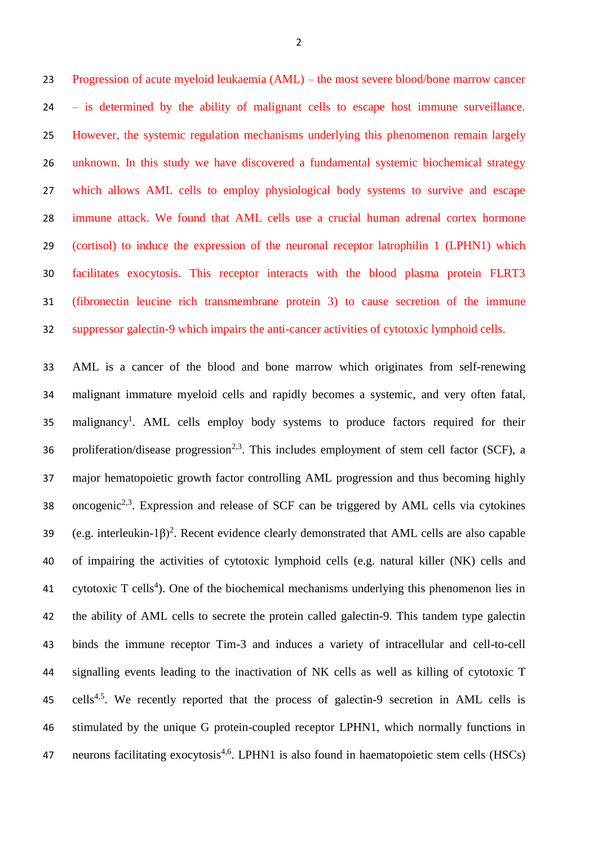Progression of acute myeloid leukaemia (AML) – the most severe blood/bone marrow cancer – is determined by the ability of malignant cells to escape host immune surveillance. However, the systemic regulation mechanisms underlying this phenomenon remain largely unknown. In this study we have discovered a fundamental systemic biochemical strategy which allows AML cells to employ physiological body systems to survive and escape immune attack. We found that AML cells use a crucial human adrenal cortex hormone (cortisol) to induce the expression of the neuronal receptor latrophilin 1 (LPHN1) which facilitates exocytosis. This receptor interacts with the blood plasma protein FLRT3 (fibronectin leucine rich transmembrane protein 3) to cause secretion of the immune suppressor galectin-9 which impairs the anti-cancer activities of cytotoxic lymphoid cells.

 AML is a cancer of the blood and bone marrow which originates from self-renewing malignant immature myeloid cells and rapidly becomes a systemic, and very often fatal, 35 malignancy<sup>1</sup>. AML cells employ body systems to produce factors required for their 36 proliferation/disease progression<sup>2,3</sup>. This includes employment of stem cell factor (SCF), a major hematopoietic growth factor controlling AML progression and thus becoming highly 38 . oncogenic<sup>2,3</sup>. Expression and release of SCF can be triggered by AML cells via cytokines 39 (e.g. interleukin-1 $\beta$ )<sup>2</sup>. Recent evidence clearly demonstrated that AML cells are also capable of impairing the activities of cytotoxic lymphoid cells (e.g. natural killer (NK) cells and 41 cytotoxic T cells<sup>4</sup>). One of the biochemical mechanisms underlying this phenomenon lies in the ability of AML cells to secrete the protein called galectin-9. This tandem type galectin binds the immune receptor Tim-3 and induces a variety of intracellular and cell-to-cell signalling events leading to the inactivation of NK cells as well as killing of cytotoxic T 45 cells<sup>4,5</sup>. We recently reported that the process of galectin-9 secretion in AML cells is stimulated by the unique G protein-coupled receptor LPHN1, which normally functions in and a neurons facilitating exocytosis<sup>4,6</sup>. LPHN1 is also found in haematopoietic stem cells (HSCs)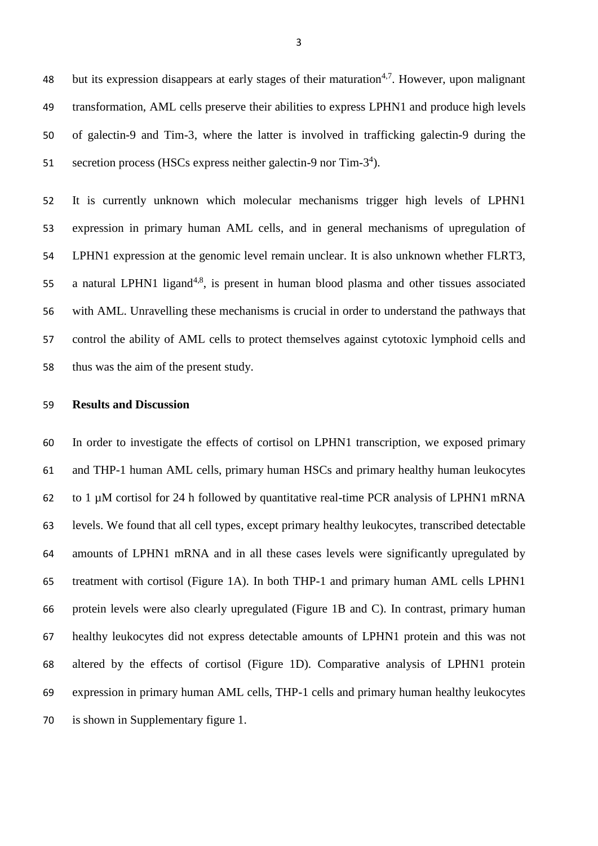48 but its expression disappears at early stages of their maturation<sup>4,7</sup>. However, upon malignant transformation, AML cells preserve their abilities to express LPHN1 and produce high levels of galectin-9 and Tim-3, where the latter is involved in trafficking galectin-9 during the 51 secretion process (HSCs express neither galectin-9 nor Tim-3<sup>4</sup>).

 It is currently unknown which molecular mechanisms trigger high levels of LPHN1 expression in primary human AML cells, and in general mechanisms of upregulation of LPHN1 expression at the genomic level remain unclear. It is also unknown whether FLRT3, 55 a natural LPHN1 ligand<sup>4,8</sup>, is present in human blood plasma and other tissues associated with AML. Unravelling these mechanisms is crucial in order to understand the pathways that control the ability of AML cells to protect themselves against cytotoxic lymphoid cells and thus was the aim of the present study.

#### **Results and Discussion**

 In order to investigate the effects of cortisol on LPHN1 transcription, we exposed primary and THP-1 human AML cells, primary human HSCs and primary healthy human leukocytes to 1 µM cortisol for 24 h followed by quantitative real-time PCR analysis of LPHN1 mRNA levels. We found that all cell types, except primary healthy leukocytes, transcribed detectable amounts of LPHN1 mRNA and in all these cases levels were significantly upregulated by treatment with cortisol (Figure 1A). In both THP-1 and primary human AML cells LPHN1 protein levels were also clearly upregulated (Figure 1B and C). In contrast, primary human healthy leukocytes did not express detectable amounts of LPHN1 protein and this was not altered by the effects of cortisol (Figure 1D). Comparative analysis of LPHN1 protein expression in primary human AML cells, THP-1 cells and primary human healthy leukocytes is shown in Supplementary figure 1.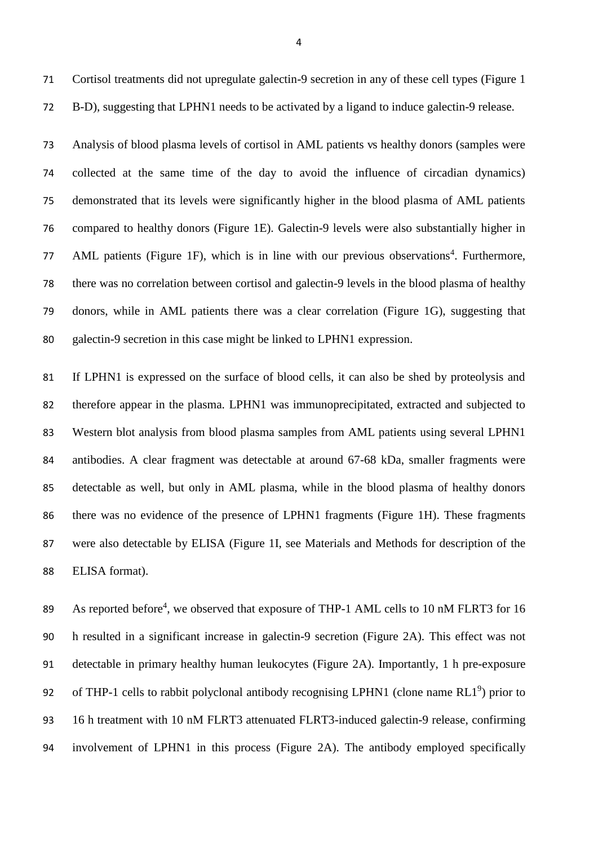Cortisol treatments did not upregulate galectin-9 secretion in any of these cell types (Figure 1 B-D), suggesting that LPHN1 needs to be activated by a ligand to induce galectin-9 release.

 Analysis of blood plasma levels of cortisol in AML patients vs healthy donors (samples were collected at the same time of the day to avoid the influence of circadian dynamics) demonstrated that its levels were significantly higher in the blood plasma of AML patients compared to healthy donors (Figure 1E). Galectin-9 levels were also substantially higher in 77 AML patients (Figure 1F), which is in line with our previous observations<sup>4</sup>. Furthermore, there was no correlation between cortisol and galectin-9 levels in the blood plasma of healthy donors, while in AML patients there was a clear correlation (Figure 1G), suggesting that galectin-9 secretion in this case might be linked to LPHN1 expression.

 If LPHN1 is expressed on the surface of blood cells, it can also be shed by proteolysis and therefore appear in the plasma. LPHN1 was immunoprecipitated, extracted and subjected to Western blot analysis from blood plasma samples from AML patients using several LPHN1 antibodies. A clear fragment was detectable at around 67-68 kDa, smaller fragments were detectable as well, but only in AML plasma, while in the blood plasma of healthy donors there was no evidence of the presence of LPHN1 fragments (Figure 1H). These fragments were also detectable by ELISA (Figure 1I, see Materials and Methods for description of the ELISA format).

89 As reported before<sup>4</sup>, we observed that exposure of THP-1 AML cells to 10 nM FLRT3 for 16 h resulted in a significant increase in galectin-9 secretion (Figure 2A). This effect was not detectable in primary healthy human leukocytes (Figure 2A). Importantly, 1 h pre-exposure 92 of THP-1 cells to rabbit polyclonal antibody recognising LPHN1 (clone name RL1<sup>9</sup>) prior to 16 h treatment with 10 nM FLRT3 attenuated FLRT3-induced galectin-9 release, confirming involvement of LPHN1 in this process (Figure 2A). The antibody employed specifically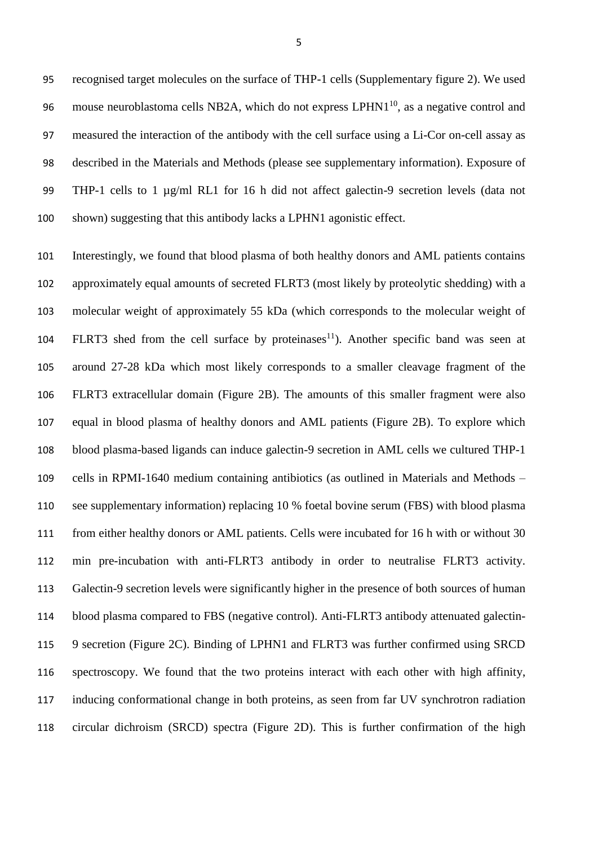recognised target molecules on the surface of THP-1 cells (Supplementary figure 2). We used 96 mouse neuroblastoma cells NB2A, which do not express  $LPHN1^{10}$ , as a negative control and measured the interaction of the antibody with the cell surface using a Li-Cor on-cell assay as described in the Materials and Methods (please see supplementary information). Exposure of 99 THP-1 cells to 1 µg/ml RL1 for 16 h did not affect galectin-9 secretion levels (data not shown) suggesting that this antibody lacks a LPHN1 agonistic effect.

 Interestingly, we found that blood plasma of both healthy donors and AML patients contains approximately equal amounts of secreted FLRT3 (most likely by proteolytic shedding) with a molecular weight of approximately 55 kDa (which corresponds to the molecular weight of 104 FLRT3 shed from the cell surface by proteinases<sup>11</sup>). Another specific band was seen at around 27-28 kDa which most likely corresponds to a smaller cleavage fragment of the FLRT3 extracellular domain (Figure 2B). The amounts of this smaller fragment were also equal in blood plasma of healthy donors and AML patients (Figure 2B). To explore which blood plasma-based ligands can induce galectin-9 secretion in AML cells we cultured THP-1 cells in RPMI-1640 medium containing antibiotics (as outlined in Materials and Methods – see supplementary information) replacing 10 % foetal bovine serum (FBS) with blood plasma from either healthy donors or AML patients. Cells were incubated for 16 h with or without 30 min pre-incubation with anti-FLRT3 antibody in order to neutralise FLRT3 activity. Galectin-9 secretion levels were significantly higher in the presence of both sources of human blood plasma compared to FBS (negative control). Anti-FLRT3 antibody attenuated galectin- 9 secretion (Figure 2C). Binding of LPHN1 and FLRT3 was further confirmed using SRCD spectroscopy. We found that the two proteins interact with each other with high affinity, inducing conformational change in both proteins, as seen from far UV synchrotron radiation circular dichroism (SRCD) spectra (Figure 2D). This is further confirmation of the high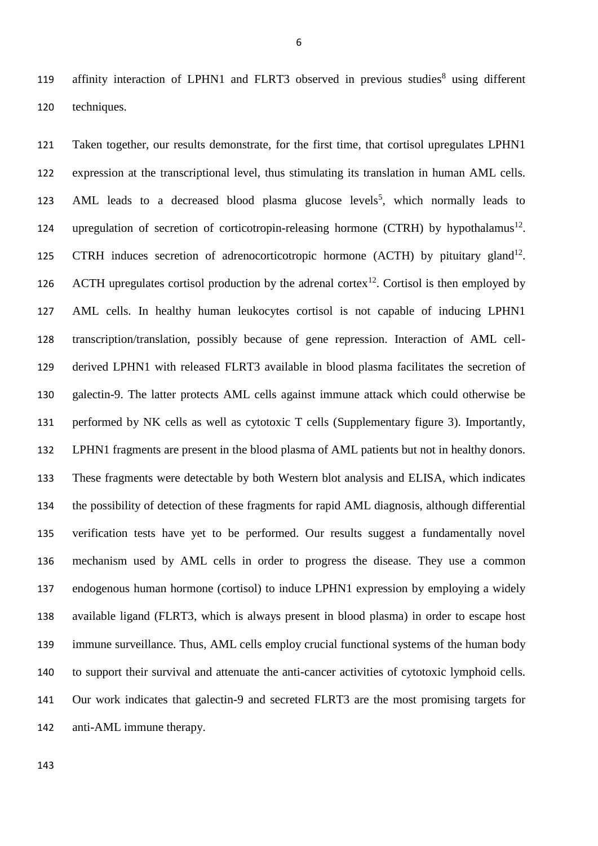119 affinity interaction of LPHN1 and FLRT3 observed in previous studies<sup>8</sup> using different 120 techniques.

 Taken together, our results demonstrate, for the first time, that cortisol upregulates LPHN1 expression at the transcriptional level, thus stimulating its translation in human AML cells. 123 AML leads to a decreased blood plasma glucose levels<sup>5</sup>, which normally leads to 124 upregulation of secretion of corticotropin-releasing hormone (CTRH) by hypothalamus<sup>12</sup>. 125 CTRH induces secretion of adrenocorticotropic hormone (ACTH) by pituitary gland<sup>12</sup>. 126 ACTH upregulates cortisol production by the adrenal cortex<sup>12</sup>. Cortisol is then employed by AML cells. In healthy human leukocytes cortisol is not capable of inducing LPHN1 transcription/translation, possibly because of gene repression. Interaction of AML cell- derived LPHN1 with released FLRT3 available in blood plasma facilitates the secretion of galectin-9. The latter protects AML cells against immune attack which could otherwise be performed by NK cells as well as cytotoxic T cells (Supplementary figure 3). Importantly, LPHN1 fragments are present in the blood plasma of AML patients but not in healthy donors. These fragments were detectable by both Western blot analysis and ELISA, which indicates the possibility of detection of these fragments for rapid AML diagnosis, although differential verification tests have yet to be performed. Our results suggest a fundamentally novel mechanism used by AML cells in order to progress the disease. They use a common endogenous human hormone (cortisol) to induce LPHN1 expression by employing a widely available ligand (FLRT3, which is always present in blood plasma) in order to escape host immune surveillance. Thus, AML cells employ crucial functional systems of the human body to support their survival and attenuate the anti-cancer activities of cytotoxic lymphoid cells. Our work indicates that galectin-9 and secreted FLRT3 are the most promising targets for anti-AML immune therapy.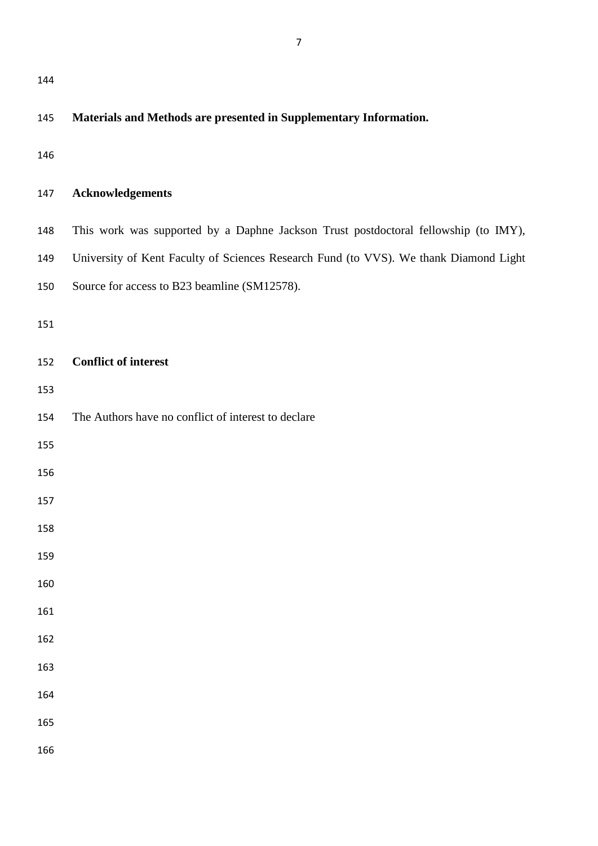| 144 |                                                                                       |  |  |  |  |  |  |
|-----|---------------------------------------------------------------------------------------|--|--|--|--|--|--|
| 145 | Materials and Methods are presented in Supplementary Information.                     |  |  |  |  |  |  |
| 146 |                                                                                       |  |  |  |  |  |  |
| 147 | <b>Acknowledgements</b>                                                               |  |  |  |  |  |  |
| 148 | This work was supported by a Daphne Jackson Trust postdoctoral fellowship (to IMY),   |  |  |  |  |  |  |
| 149 | University of Kent Faculty of Sciences Research Fund (to VVS). We thank Diamond Light |  |  |  |  |  |  |
| 150 | Source for access to B23 beamline (SM12578).                                          |  |  |  |  |  |  |
| 151 |                                                                                       |  |  |  |  |  |  |
| 152 | <b>Conflict of interest</b>                                                           |  |  |  |  |  |  |
| 153 |                                                                                       |  |  |  |  |  |  |
| 154 | The Authors have no conflict of interest to declare                                   |  |  |  |  |  |  |
| 155 |                                                                                       |  |  |  |  |  |  |
| 156 |                                                                                       |  |  |  |  |  |  |
| 157 |                                                                                       |  |  |  |  |  |  |
| 158 |                                                                                       |  |  |  |  |  |  |
| 159 |                                                                                       |  |  |  |  |  |  |
| 160 |                                                                                       |  |  |  |  |  |  |
| 161 |                                                                                       |  |  |  |  |  |  |
| 162 |                                                                                       |  |  |  |  |  |  |
| 163 |                                                                                       |  |  |  |  |  |  |
| 164 |                                                                                       |  |  |  |  |  |  |
| 165 |                                                                                       |  |  |  |  |  |  |
|     |                                                                                       |  |  |  |  |  |  |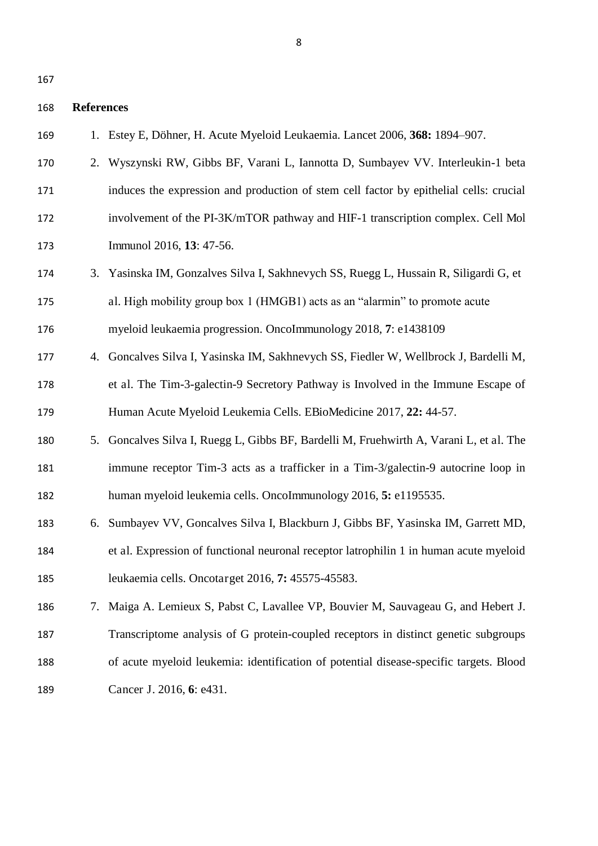#### **References**

- 1. Estey E, Döhner, H. Acute Myeloid Leukaemia. Lancet 2006, **368:** 1894–907.
- 2. Wyszynski RW, Gibbs BF, Varani L, Iannotta D, Sumbayev VV. Interleukin-1 beta induces the expression and production of stem cell factor by epithelial cells: crucial involvement of the PI-3K/mTOR pathway and HIF-1 transcription complex. Cell Mol Immunol 2016, **13**: 47-56.
- 3. Yasinska IM, Gonzalves Silva I, Sakhnevych SS, Ruegg L, Hussain R, Siligardi G, et al. High mobility group box 1 (HMGB1) acts as an "alarmin" to promote acute myeloid leukaemia progression. OncoImmunology 2018, **7**: e1438109
- 4. Goncalves Silva I, Yasinska IM, Sakhnevych SS, Fiedler W, Wellbrock J, Bardelli M, et al. The Tim-3-galectin-9 Secretory Pathway is Involved in the Immune Escape of Human Acute Myeloid Leukemia Cells. EBioMedicine 2017, **22:** 44-57.
- 5. Goncalves Silva I, Ruegg L, Gibbs BF, Bardelli M, Fruehwirth A, Varani L, et al. The immune receptor Tim-3 acts as a trafficker in a Tim-3/galectin-9 autocrine loop in human myeloid leukemia cells. OncoImmunology 2016, **5:** e1195535.
- 6. Sumbayev VV, Goncalves Silva I, Blackburn J, Gibbs BF, Yasinska IM, Garrett MD, et al. Expression of functional neuronal receptor latrophilin 1 in human acute myeloid leukaemia cells. Oncotarget 2016, **7:** 45575-45583.
- 7. Maiga A. Lemieux S, Pabst C, Lavallee VP, Bouvier M, Sauvageau G, and Hebert J. Transcriptome analysis of G protein-coupled receptors in distinct genetic subgroups of acute myeloid leukemia: identification of potential disease-specific targets. Blood Cancer J. 2016, **6**: e431.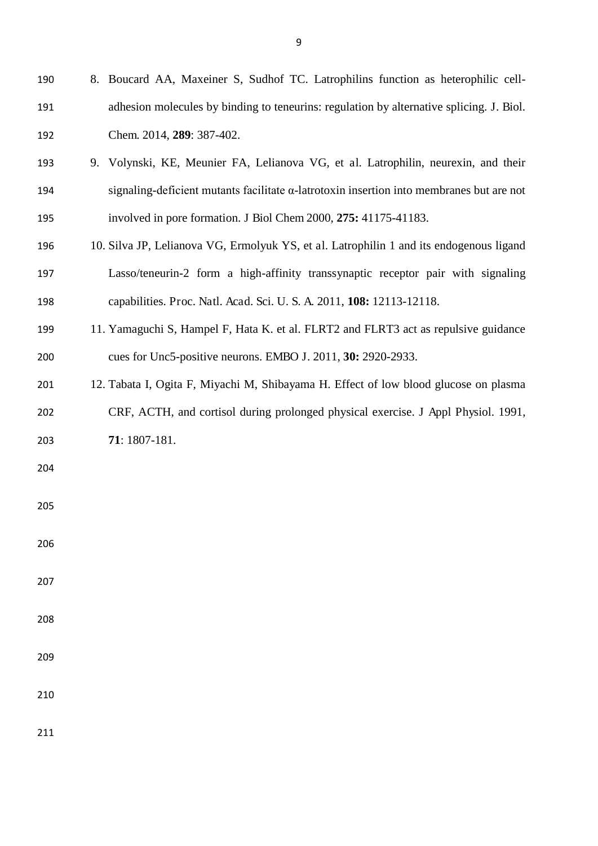| 190 | 8. Boucard AA, Maxeiner S, Sudhof TC. Latrophilins function as heterophilic cell-        |
|-----|------------------------------------------------------------------------------------------|
| 191 | adhesion molecules by binding to teneurins: regulation by alternative splicing. J. Biol. |
| 192 | Chem. 2014, 289: 387-402.                                                                |
| 193 | 9. Volynski, KE, Meunier FA, Lelianova VG, et al. Latrophilin, neurexin, and their       |
| 194 | signaling-deficient mutants facilitate α-latrotoxin insertion into membranes but are not |
| 195 | involved in pore formation. J Biol Chem 2000, 275: 41175-41183.                          |
| 196 | 10. Silva JP, Lelianova VG, Ermolyuk YS, et al. Latrophilin 1 and its endogenous ligand  |
| 197 | Lasso/teneurin-2 form a high-affinity transsynaptic receptor pair with signaling         |
| 198 | capabilities. Proc. Natl. Acad. Sci. U. S. A. 2011, 108: 12113-12118.                    |
| 199 | 11. Yamaguchi S, Hampel F, Hata K. et al. FLRT2 and FLRT3 act as repulsive guidance      |
| 200 | cues for Unc5-positive neurons. EMBO J. 2011, 30: 2920-2933.                             |
| 201 | 12. Tabata I, Ogita F, Miyachi M, Shibayama H. Effect of low blood glucose on plasma     |
| 202 | CRF, ACTH, and cortisol during prolonged physical exercise. J Appl Physiol. 1991,        |
| 203 | 71: 1807-181.                                                                            |
| 204 |                                                                                          |
| 205 |                                                                                          |
|     |                                                                                          |
| 206 |                                                                                          |
| 207 |                                                                                          |
| 208 |                                                                                          |
|     |                                                                                          |
| 209 |                                                                                          |
| 210 |                                                                                          |
| 211 |                                                                                          |
|     |                                                                                          |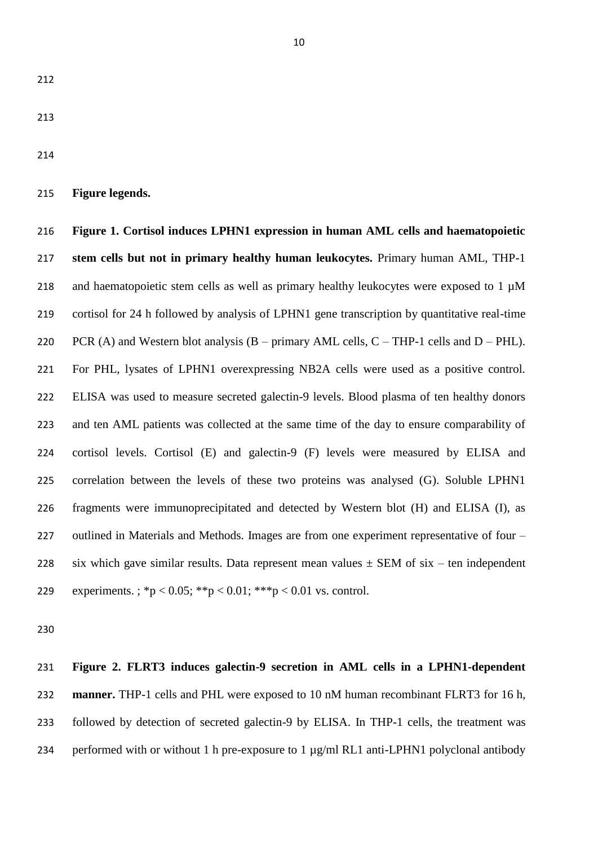**Figure legends.** 

 **Figure 1. Cortisol induces LPHN1 expression in human AML cells and haematopoietic stem cells but not in primary healthy human leukocytes.** Primary human AML, THP-1 218 and haematopoietic stem cells as well as primary healthy leukocytes were exposed to  $1 \mu$ M cortisol for 24 h followed by analysis of LPHN1 gene transcription by quantitative real-time 220 PCR (A) and Western blot analysis  $(B - primary AML$  cells,  $C - THP-1$  cells and  $D - PHL$ . For PHL, lysates of LPHN1 overexpressing NB2A cells were used as a positive control. ELISA was used to measure secreted galectin-9 levels. Blood plasma of ten healthy donors and ten AML patients was collected at the same time of the day to ensure comparability of cortisol levels. Cortisol (E) and galectin-9 (F) levels were measured by ELISA and correlation between the levels of these two proteins was analysed (G). Soluble LPHN1 fragments were immunoprecipitated and detected by Western blot (H) and ELISA (I), as outlined in Materials and Methods. Images are from one experiment representative of four – 228 six which gave similar results. Data represent mean values  $\pm$  SEM of six – ten independent 229 experiments.:  ${}^{*}\text{p} < 0.05$ ;  ${}^{*}\text{p} < 0.01$ ;  ${}^{*}\text{p} < 0.01$  vs. control.

 **Figure 2. FLRT3 induces galectin-9 secretion in AML cells in a LPHN1-dependent manner.** THP-1 cells and PHL were exposed to 10 nM human recombinant FLRT3 for 16 h, followed by detection of secreted galectin-9 by ELISA. In THP-1 cells, the treatment was 234 performed with or without 1 h pre-exposure to 1 µg/ml RL1 anti-LPHN1 polyclonal antibody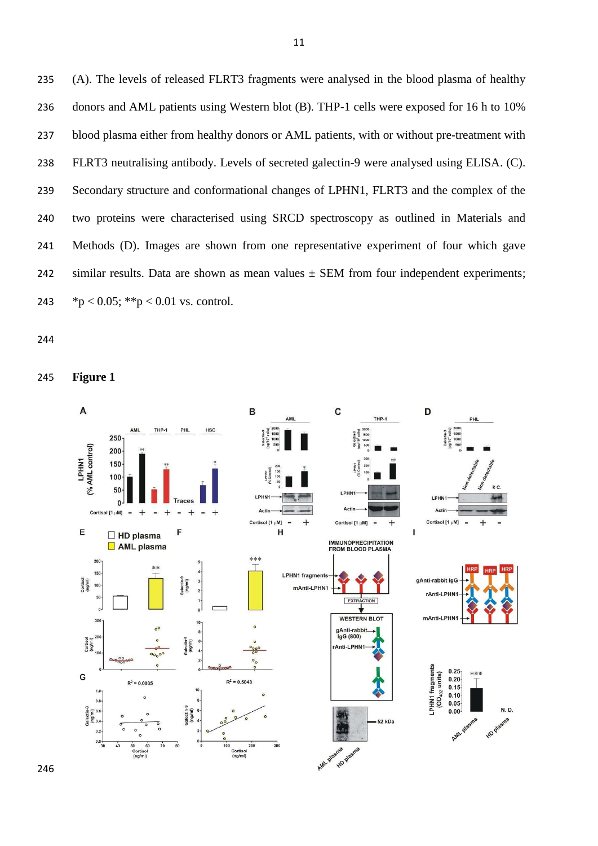(A). The levels of released FLRT3 fragments were analysed in the blood plasma of healthy donors and AML patients using Western blot (B). THP-1 cells were exposed for 16 h to 10% blood plasma either from healthy donors or AML patients, with or without pre-treatment with FLRT3 neutralising antibody. Levels of secreted galectin-9 were analysed using ELISA. (C). Secondary structure and conformational changes of LPHN1, FLRT3 and the complex of the two proteins were characterised using SRCD spectroscopy as outlined in Materials and Methods (D). Images are shown from one representative experiment of four which gave 242 similar results. Data are shown as mean values  $\pm$  SEM from four independent experiments;  $*p < 0.05$ ;  $**p < 0.01$  vs. control.

**Figure 1** 

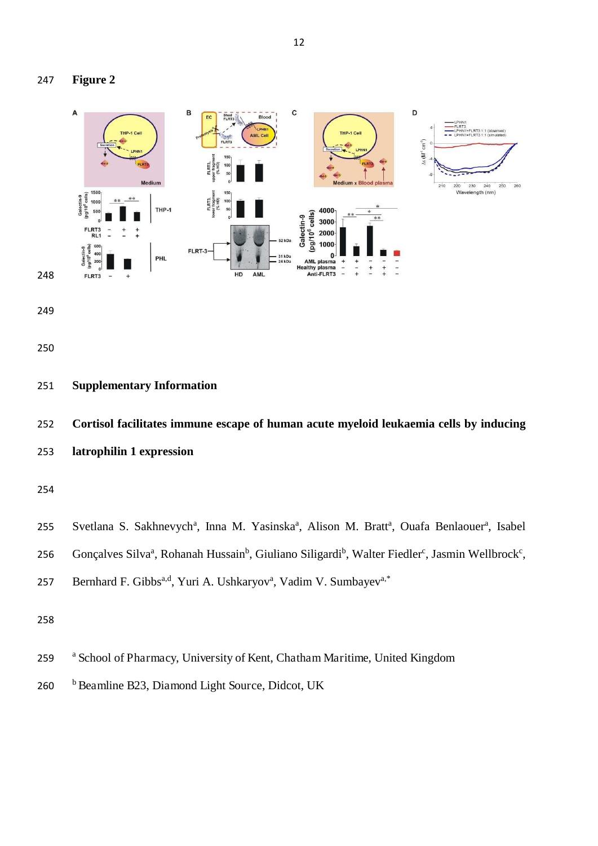



- **Supplementary Information**
- **Cortisol facilitates immune escape of human acute myeloid leukaemia cells by inducing**
- **latrophilin 1 expression**



256 Gonçalves Silva<sup>a</sup>, Rohanah Hussain<sup>b</sup>, Giuliano Siligardi<sup>b</sup>, Walter Fiedler<sup>c</sup>, Jasmin Wellbrock<sup>c</sup>,

```
257 Bernhard F. Gibbs<sup>a,d</sup>, Yuri A. Ushkaryov<sup>a</sup>, Vadim V. Sumbayev<sup>a,*</sup>
```
- <sup>a</sup> School of Pharmacy, University of Kent, Chatham Maritime, United Kingdom
- 260 b Beamline B23, Diamond Light Source, Didcot, UK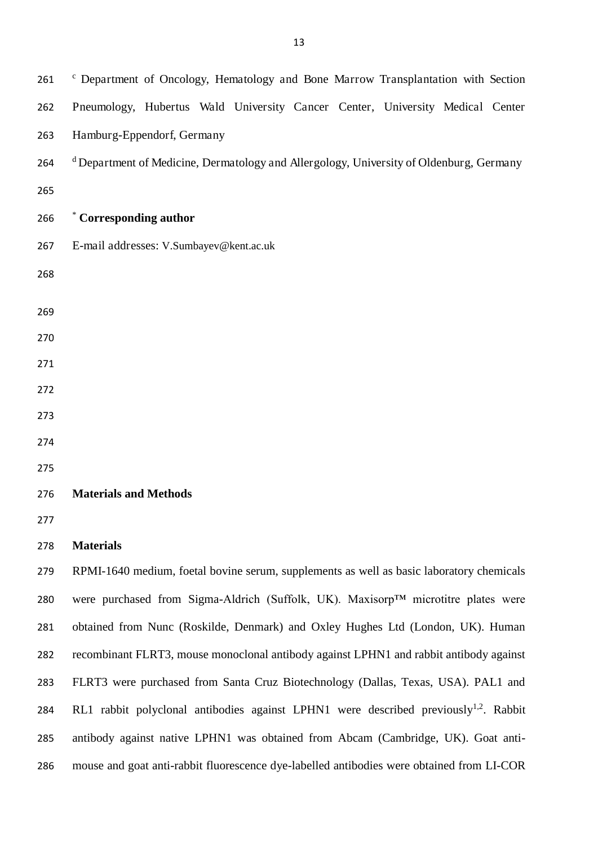| 261 | <sup>c</sup> Department of Oncology, Hematology and Bone Marrow Transplantation with Section       |  |  |  |  |  |  |  |
|-----|----------------------------------------------------------------------------------------------------|--|--|--|--|--|--|--|
| 262 | Pneumology, Hubertus Wald University Cancer Center, University Medical Center                      |  |  |  |  |  |  |  |
| 263 | Hamburg-Eppendorf, Germany                                                                         |  |  |  |  |  |  |  |
| 264 | <sup>d</sup> Department of Medicine, Dermatology and Allergology, University of Oldenburg, Germany |  |  |  |  |  |  |  |
| 265 |                                                                                                    |  |  |  |  |  |  |  |
| 266 | * Corresponding author                                                                             |  |  |  |  |  |  |  |
| 267 | E-mail addresses: V.Sumbayev@kent.ac.uk                                                            |  |  |  |  |  |  |  |
| 268 |                                                                                                    |  |  |  |  |  |  |  |
|     |                                                                                                    |  |  |  |  |  |  |  |
| 269 |                                                                                                    |  |  |  |  |  |  |  |
| 270 |                                                                                                    |  |  |  |  |  |  |  |
| 271 |                                                                                                    |  |  |  |  |  |  |  |
| 272 |                                                                                                    |  |  |  |  |  |  |  |
| 273 |                                                                                                    |  |  |  |  |  |  |  |
| 274 |                                                                                                    |  |  |  |  |  |  |  |
| 275 |                                                                                                    |  |  |  |  |  |  |  |
| 276 | <b>Materials and Methods</b>                                                                       |  |  |  |  |  |  |  |
| 277 |                                                                                                    |  |  |  |  |  |  |  |
| 278 | <b>Materials</b>                                                                                   |  |  |  |  |  |  |  |
| 279 | RPMI-1640 medium, foetal bovine serum, supplements as well as basic laboratory chemicals           |  |  |  |  |  |  |  |
| 280 | were purchased from Sigma-Aldrich (Suffolk, UK). Maxisorp™ microtitre plates were                  |  |  |  |  |  |  |  |
| 281 | obtained from Nunc (Roskilde, Denmark) and Oxley Hughes Ltd (London, UK). Human                    |  |  |  |  |  |  |  |
| 282 | recombinant FLRT3, mouse monoclonal antibody against LPHN1 and rabbit antibody against             |  |  |  |  |  |  |  |
| 283 | FLRT3 were purchased from Santa Cruz Biotechnology (Dallas, Texas, USA). PAL1 and                  |  |  |  |  |  |  |  |
| 284 | RL1 rabbit polyclonal antibodies against LPHN1 were described previously <sup>1,2</sup> . Rabbit   |  |  |  |  |  |  |  |
| 285 | antibody against native LPHN1 was obtained from Abcam (Cambridge, UK). Goat anti-                  |  |  |  |  |  |  |  |

mouse and goat anti-rabbit fluorescence dye-labelled antibodies were obtained from LI-COR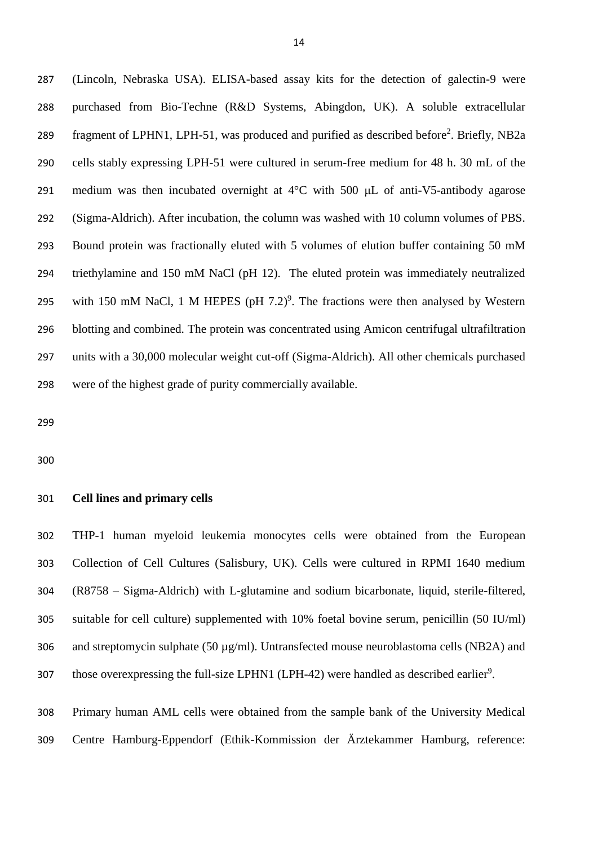(Lincoln, Nebraska USA). ELISA-based assay kits for the detection of galectin-9 were purchased from Bio-Techne (R&D Systems, Abingdon, UK). A soluble extracellular 289 fragment of LPHN1, LPH-51, was produced and purified as described before<sup>2</sup>. Briefly, NB2a cells stably expressing LPH-51 were cultured in serum-free medium for 48 h. 30 mL of the 291 medium was then incubated overnight at  $4^{\circ}$ C with 500  $\mu$ L of anti-V5-antibody agarose (Sigma-Aldrich). After incubation, the column was washed with 10 column volumes of PBS. Bound protein was fractionally eluted with 5 volumes of elution buffer containing 50 mM triethylamine and 150 mM NaCl (pH 12). The eluted protein was immediately neutralized 295 with 150 mM NaCl, 1 M HEPES (pH  $7.2$ )<sup>9</sup>. The fractions were then analysed by Western blotting and combined. The protein was concentrated using Amicon centrifugal ultrafiltration units with a 30,000 molecular weight cut-off (Sigma-Aldrich). All other chemicals purchased were of the highest grade of purity commercially available.

#### **Cell lines and primary cells**

 THP-1 human myeloid leukemia monocytes cells were obtained from the European Collection of Cell Cultures (Salisbury, UK). Cells were cultured in RPMI 1640 medium (R8758 – Sigma-Aldrich) with L-glutamine and sodium bicarbonate, liquid, sterile-filtered, suitable for cell culture) supplemented with 10% foetal bovine serum, penicillin (50 IU/ml) 306 and streptomycin sulphate (50  $\mu$ g/ml). Untransfected mouse neuroblastoma cells (NB2A) and 307 those overexpressing the full-size LPHN1 (LPH-42) were handled as described earlier<sup>9</sup>.

 Primary human AML cells were obtained from the sample bank of the University Medical Centre Hamburg-Eppendorf (Ethik-Kommission der Ärztekammer Hamburg, reference: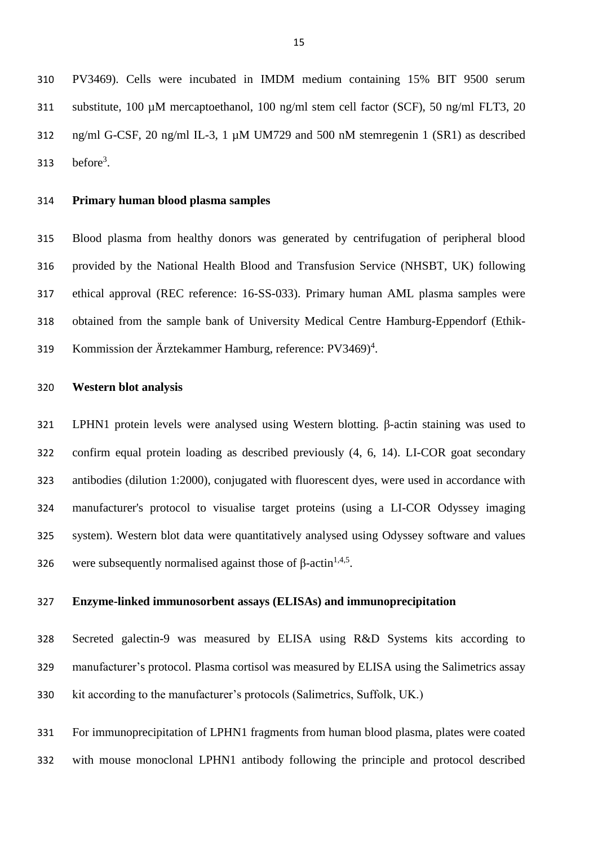PV3469). Cells were incubated in IMDM medium containing 15% BIT 9500 serum substitute, 100 µM mercaptoethanol, 100 ng/ml stem cell factor (SCF), 50 ng/ml FLT3, 20 ng/ml G-CSF, 20 ng/ml IL-3, 1 µM UM729 and 500 nM stemregenin 1 (SR1) as described 313 before<sup>3</sup>.

#### **Primary human blood plasma samples**

 Blood plasma from healthy donors was generated by centrifugation of peripheral blood provided by the National Health Blood and Transfusion Service (NHSBT, UK) following ethical approval (REC reference: 16-SS-033). Primary human AML plasma samples were obtained from the sample bank of University Medical Centre Hamburg-Eppendorf (Ethik-319 Kommission der Ärztekammer Hamburg, reference: PV3469)<sup>4</sup>.

#### **Western blot analysis**

321 LPHN1 protein levels were analysed using Western blotting.  $\beta$ -actin staining was used to confirm equal protein loading as described previously (4, 6, 14). LI-COR goat secondary antibodies (dilution 1:2000), conjugated with fluorescent dyes, were used in accordance with manufacturer's protocol to visualise target proteins (using a LI-COR Odyssey imaging system). Western blot data were quantitatively analysed using Odyssey software and values 326 were subsequently normalised against those of  $\beta$ -actin<sup>1,4,5</sup>.

## **Enzyme-linked immunosorbent assays (ELISAs) and immunoprecipitation**

 Secreted galectin-9 was measured by ELISA using R&D Systems kits according to manufacturer's protocol. Plasma cortisol was measured by ELISA using the Salimetrics assay kit according to the manufacturer's protocols (Salimetrics, Suffolk, UK.)

 For immunoprecipitation of LPHN1 fragments from human blood plasma, plates were coated with mouse monoclonal LPHN1 antibody following the principle and protocol described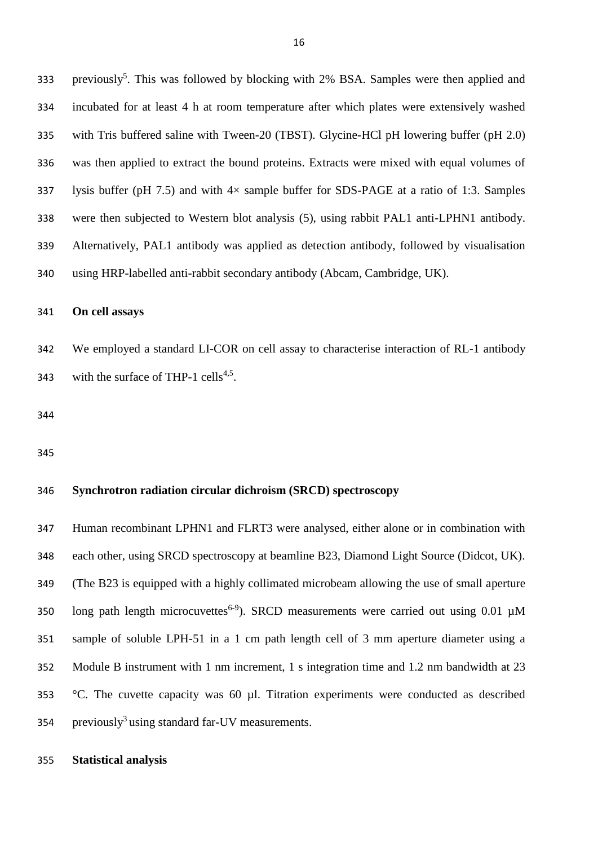333 previously<sup>5</sup>. This was followed by blocking with 2% BSA. Samples were then applied and incubated for at least 4 h at room temperature after which plates were extensively washed with Tris buffered saline with Tween-20 (TBST). Glycine-HCl pH lowering buffer (pH 2.0) was then applied to extract the bound proteins. Extracts were mixed with equal volumes of lysis buffer (pH 7.5) and with 4× sample buffer for SDS-PAGE at a ratio of 1:3. Samples were then subjected to Western blot analysis (5), using rabbit PAL1 anti-LPHN1 antibody. Alternatively, PAL1 antibody was applied as detection antibody, followed by visualisation using HRP-labelled anti-rabbit secondary antibody (Abcam, Cambridge, UK).

#### **On cell assays**

 We employed a standard LI-COR on cell assay to characterise interaction of RL-1 antibody 343 with the surface of THP-1 cells<sup>4,5</sup>.

# **Synchrotron radiation circular dichroism (SRCD) spectroscopy**

 Human recombinant LPHN1 and FLRT3 were analysed, either alone or in combination with each other, using SRCD spectroscopy at beamline B23, Diamond Light Source (Didcot, UK). (The B23 is equipped with a highly collimated microbeam allowing the use of small aperture 350 long path length microcuvettes<sup>6-9</sup>). SRCD measurements were carried out using 0.01  $\mu$ M sample of soluble LPH-51 in a 1 cm path length cell of 3 mm aperture diameter using a Module B instrument with 1 nm increment, 1 s integration time and 1.2 nm bandwidth at 23 °C. The cuvette capacity was 60 µl. Titration experiments were conducted as described 354 previously<sup>3</sup> using standard far-UV measurements.

### **Statistical analysis**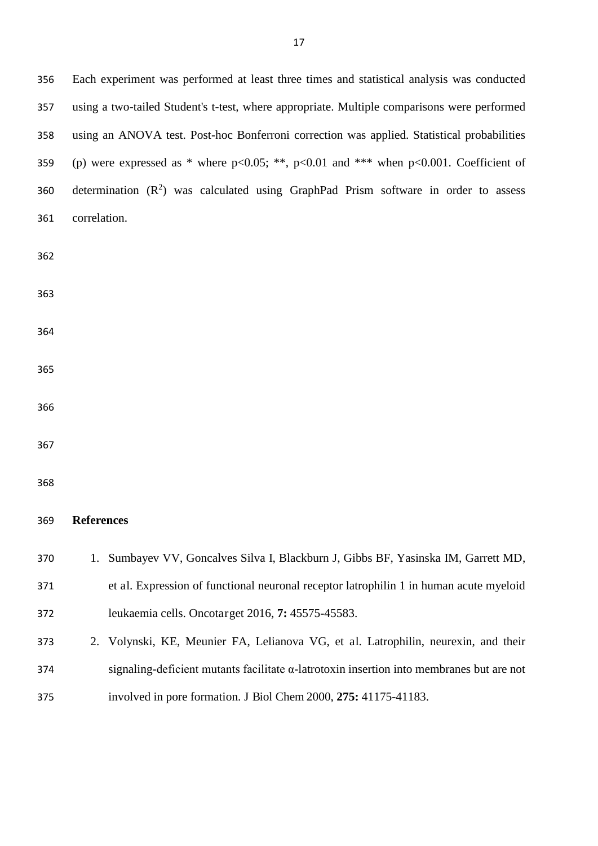Each experiment was performed at least three times and statistical analysis was conducted using a two-tailed Student's t-test, where appropriate. Multiple comparisons were performed using an ANOVA test. Post-hoc Bonferroni correction was applied. Statistical probabilities 359 (p) were expressed as \* where  $p<0.05$ ; \*\*,  $p<0.01$  and \*\*\* when  $p<0.001$ . Coefficient of 360 determination  $(R^2)$  was calculated using GraphPad Prism software in order to assess correlation. **References**  1. Sumbayev VV, Goncalves Silva I, Blackburn J, Gibbs BF, Yasinska IM, Garrett MD, et al. Expression of functional neuronal receptor latrophilin 1 in human acute myeloid leukaemia cells. Oncotarget 2016, **7:** 45575-45583. 2. Volynski, KE, Meunier FA, Lelianova VG, et al. Latrophilin, neurexin, and their signaling-deficient mutants facilitate  $\alpha$ -latrotoxin insertion into membranes but are not involved in pore formation. J Biol Chem 2000, **275:** 41175-41183.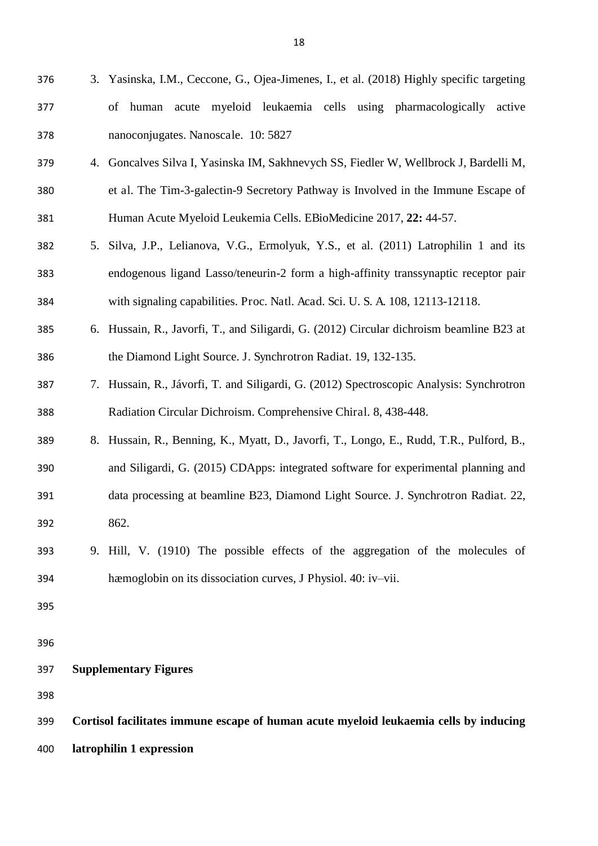- 3. Yasinska, I.M., Ceccone, G., Ojea-Jimenes, I., et al. (2018) Highly specific targeting of human acute myeloid leukaemia cells using pharmacologically active nanoconjugates. Nanoscale. 10: 5827 4. Goncalves Silva I, Yasinska IM, Sakhnevych SS, Fiedler W, Wellbrock J, Bardelli M,
- et al. The Tim-3-galectin-9 Secretory Pathway is Involved in the Immune Escape of Human Acute Myeloid Leukemia Cells. EBioMedicine 2017, **22:** 44-57.
- 5. Silva, J.P., Lelianova, V.G., Ermolyuk, Y.S., et al. (2011) Latrophilin 1 and its endogenous ligand Lasso/teneurin-2 form a high-affinity transsynaptic receptor pair with signaling capabilities. Proc. Natl. Acad. Sci. U. S. A. 108, 12113-12118.
- 6. Hussain, R., Javorfi, T., and Siligardi, G. (2012) Circular dichroism beamline B23 at the Diamond Light Source. J. Synchrotron Radiat. 19, 132-135.
- 7. Hussain, R., Jávorfi, T. and Siligardi, G. (2012) Spectroscopic Analysis: Synchrotron Radiation Circular Dichroism. Comprehensive Chiral. 8, 438-448.
- 8. Hussain, R., Benning, K., Myatt, D., Javorfi, T., Longo, E., Rudd, T.R., Pulford, B., and Siligardi, G. (2015) CDApps: integrated software for experimental planning and data processing at beamline B23, Diamond Light Source. J. Synchrotron Radiat. 22, 862.
- 9. Hill, V. (1910) The possible effects of the aggregation of the molecules of hæmoglobin on its dissociation curves, J Physiol. 40: iv–vii.
- 

**Supplementary Figures** 

 **Cortisol facilitates immune escape of human acute myeloid leukaemia cells by inducing latrophilin 1 expression**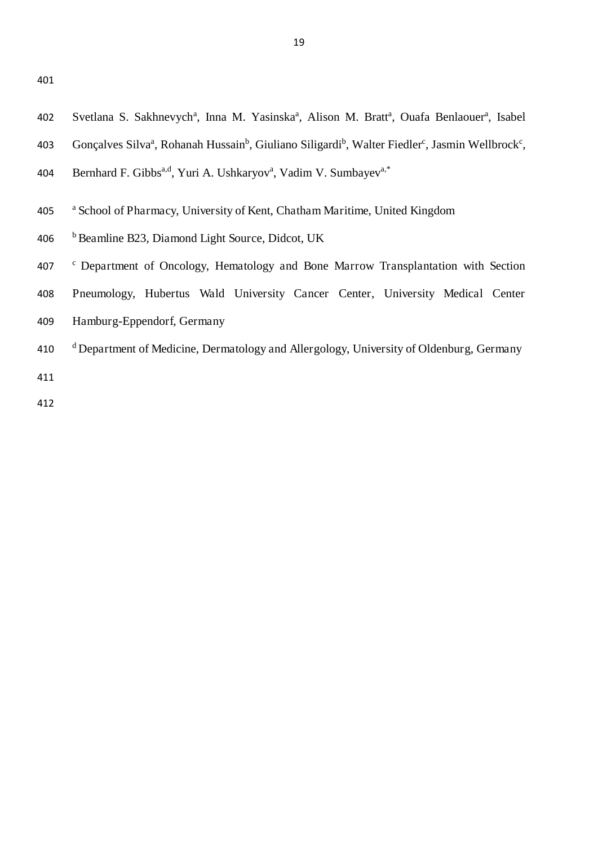- 402 Svetlana S. Sakhnevych<sup>a</sup>, Inna M. Yasinska<sup>a</sup>, Alison M. Bratt<sup>a</sup>, Ouafa Benlaouer<sup>a</sup>, Isabel
- 403 Gonçalves Silva<sup>a</sup>, Rohanah Hussain<sup>b</sup>, Giuliano Siligardi<sup>b</sup>, Walter Fiedler<sup>c</sup>, Jasmin Wellbrock<sup>c</sup>,
- 404 Bernhard F. Gibbs<sup>a,d</sup>, Yuri A. Ushkaryov<sup>a</sup>, Vadim V. Sumbayev<sup>a,\*</sup>
- <sup>a</sup> School of Pharmacy, University of Kent, Chatham Maritime, United Kingdom
- <sup>b</sup>406 Beamline B23, Diamond Light Source, Didcot, UK
- 407 <sup>c</sup> Department of Oncology, Hematology and Bone Marrow Transplantation with Section
- 408 Pneumology, Hubertus Wald University Cancer Center, University Medical Center
- 409 Hamburg-Eppendorf, Germany
- 410 d Department of Medicine, Dermatology and Allergology, University of Oldenburg, Germany 411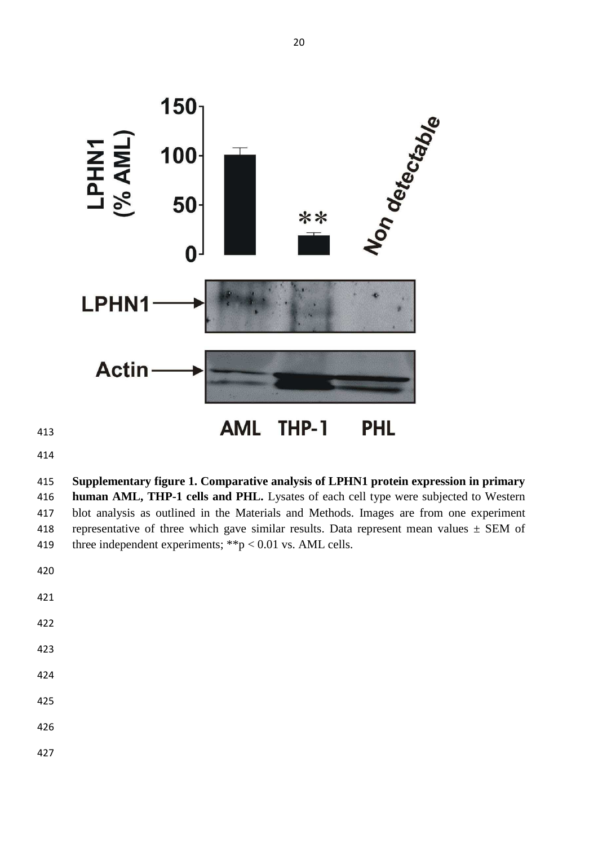

**AML** THP-1 **PHL** 

 **Supplementary figure 1. Comparative analysis of LPHN1 protein expression in primary human AML, THP-1 cells and PHL.** Lysates of each cell type were subjected to Western blot analysis as outlined in the Materials and Methods. Images are from one experiment 418 representative of three which gave similar results. Data represent mean values  $\pm$  SEM of 419 three independent experiments;  $*^{*}p < 0.01$  vs. AML cells.

- 
- 
- 
- 
- 
-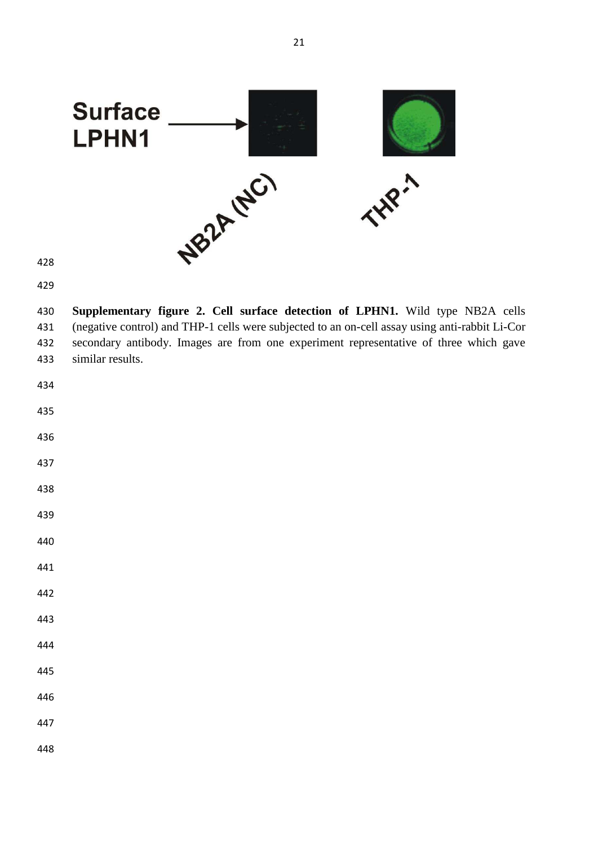

 **Supplementary figure 2. Cell surface detection of LPHN1.** Wild type NB2A cells (negative control) and THP-1 cells were subjected to an on-cell assay using anti-rabbit Li-Cor secondary antibody. Images are from one experiment representative of three which gave similar results.

| 434 |  |  |  |
|-----|--|--|--|
| 435 |  |  |  |
| 436 |  |  |  |
| 437 |  |  |  |
| 438 |  |  |  |
| 439 |  |  |  |
| 440 |  |  |  |
| 441 |  |  |  |
| 442 |  |  |  |
| 443 |  |  |  |
| 444 |  |  |  |
| 445 |  |  |  |
| 446 |  |  |  |
| 447 |  |  |  |
| 448 |  |  |  |
|     |  |  |  |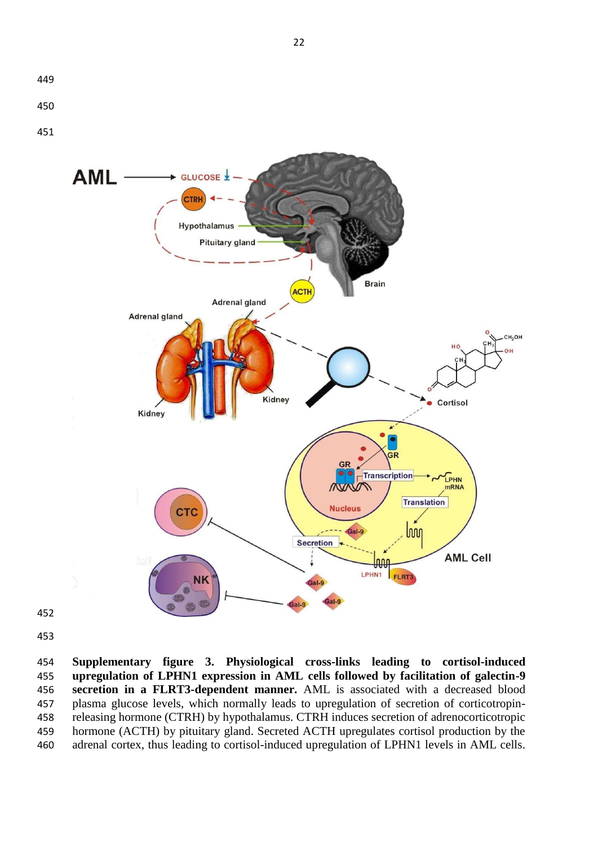



 **Supplementary figure 3. Physiological cross-links leading to cortisol-induced upregulation of LPHN1 expression in AML cells followed by facilitation of galectin-9 secretion in a FLRT3-dependent manner.** AML is associated with a decreased blood plasma glucose levels, which normally leads to upregulation of secretion of corticotropin- releasing hormone (CTRH) by hypothalamus. CTRH induces secretion of adrenocorticotropic hormone (ACTH) by pituitary gland. Secreted ACTH upregulates cortisol production by the adrenal cortex, thus leading to cortisol-induced upregulation of LPHN1 levels in AML cells.